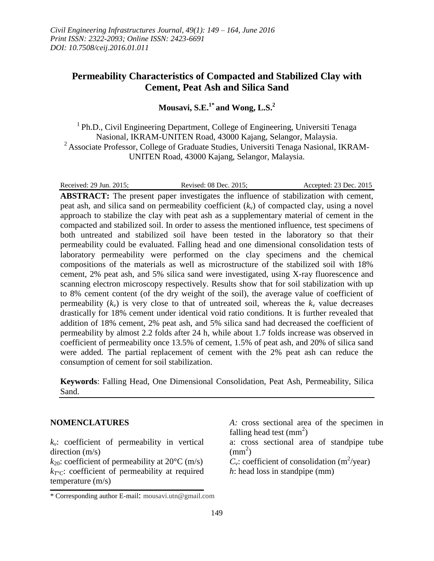# **Permeability Characteristics of Compacted and Stabilized Clay with Cement, Peat Ash and Silica Sand**

**Mousavi, S.E.1\* and Wong, L.S. 2**

<sup>1</sup> Ph.D., Civil Engineering Department, College of Engineering, Universiti Tenaga Nasional, IKRAM-UNITEN Road, 43000 Kajang, Selangor, Malaysia. <sup>2</sup> Associate Professor, College of Graduate Studies, Universiti Tenaga Nasional, IKRAM-UNITEN Road, 43000 Kajang, Selangor, Malaysia.

Received: 29 Jun. 2015; Revised: 08 Dec. 2015; Accepted: 23 Dec. 2015

**ABSTRACT:** The present paper investigates the influence of stabilization with cement, peat ash, and silica sand on permeability coefficient  $(k<sub>v</sub>)$  of compacted clay, using a novel approach to stabilize the clay with peat ash as a supplementary material of cement in the compacted and stabilized soil. In order to assess the mentioned influence, test specimens of both untreated and stabilized soil have been tested in the laboratory so that their permeability could be evaluated. Falling head and one dimensional consolidation tests of laboratory permeability were performed on the clay specimens and the chemical compositions of the materials as well as microstructure of the stabilized soil with 18% cement, 2% peat ash, and 5% silica sand were investigated, using X-ray fluorescence and scanning electron microscopy respectively. Results show that for soil stabilization with up to 8% cement content (of the dry weight of the soil), the average value of coefficient of permeability  $(k_v)$  is very close to that of untreated soil, whereas the  $k_v$  value decreases drastically for 18% cement under identical void ratio conditions. It is further revealed that addition of 18% cement, 2% peat ash, and 5% silica sand had decreased the coefficient of permeability by almost 2.2 folds after 24 h, while about 1.7 folds increase was observed in coefficient of permeability once 13.5% of cement, 1.5% of peat ash, and 20% of silica sand were added. The partial replacement of cement with the 2% peat ash can reduce the consumption of cement for soil stabilization.

**Keywords**: Falling Head, One Dimensional Consolidation, Peat Ash, Permeability, Silica Sand.

## **NOMENCLATURES**

 $k_v$ : coefficient of permeability in vertical direction (m/s)

 $k_{20}$ : coefficient of permeability at  $20^{\circ}$ C (m/s) *kT°C*: coefficient of permeability at required temperature (m/s)

 $C_v$ : coefficient of consolidation (m<sup>2</sup>/year)

*h*: head loss in standpipe (mm)

*A:* cross sectional area of the specimen in falling head test  $\text{(mm}^2)$ a: cross sectional area of standpipe tube

 $\text{(mm}^2)$ 

<sup>\*</sup> Corresponding author E-mail: mousavi.utn@gmail.com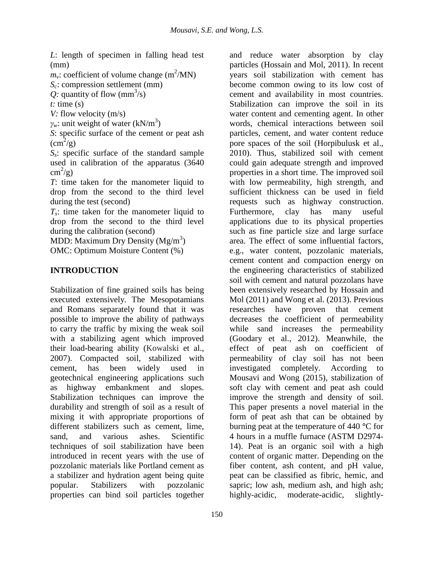*L*: length of specimen in falling head test (mm)

 $m_{\nu}$ : coefficient of volume change (m<sup>2</sup>/MN)

*Sc*: compression settlement (mm)

*Q*: quantity of flow  $\text{(mm}^3\text{/s)}$ 

 $t:$  time  $(s)$ 

*V*: flow velocity (m/s)

 $\gamma_w$ : unit weight of water (kN/m<sup>3</sup>)

*S*: specific surface of the cement or peat ash  $\text{cm}^2\text{/g}$ 

*Ss*: specific surface of the standard sample used in calibration of the apparatus (3640  $\text{cm}^2\text{/g}$ )

*T*: time taken for the manometer liquid to drop from the second to the third level during the test (second)

*Ts*: time taken for the manometer liquid to drop from the second to the third level during the calibration (second)

MDD: Maximum Dry Density  $(Mg/m^3)$ OMC: Optimum Moisture Content (%)

# **INTRODUCTION**

Stabilization of fine grained soils has being executed extensively. The Mesopotamians and Romans separately found that it was possible to improve the ability of pathways to carry the traffic by mixing the weak soil with a stabilizing agent which improved their load-bearing ability (Kowalski et al., 2007). Compacted soil, stabilized with cement, has been widely used in geotechnical engineering applications such as highway embankment and slopes. Stabilization techniques can improve the durability and strength of soil as a result of mixing it with appropriate proportions of different stabilizers such as cement, lime, sand, and various ashes. Scientific techniques of soil stabilization have been introduced in recent years with the use of pozzolanic materials like Portland cement as a stabilizer and hydration agent being quite popular. Stabilizers with pozzolanic properties can bind soil particles together

and reduce water absorption by clay particles (Hossain and Mol, 2011). In recent years soil stabilization with cement has become common owing to its low cost of cement and availability in most countries. Stabilization can improve the soil in its water content and cementing agent. In other words, chemical interactions between soil particles, cement, and water content reduce pore spaces of the soil (Horpibulusk et al., 2010). Thus, stabilized soil with cement could gain adequate strength and improved properties in a short time. The improved soil with low permeability, high strength, and sufficient thickness can be used in field requests such as highway construction. Furthermore, clay has many useful applications due to its physical properties such as fine particle size and large surface area. The effect of some influential factors, e.g., water content, pozzolanic materials, cement content and compaction energy on the engineering characteristics of stabilized soil with cement and natural pozzolans have been extensively researched by Hossain and Mol (2011) and Wong et al. (2013). Previous researches have proven that cement decreases the coefficient of permeability while sand increases the permeability (Goodary et al., 2012). Meanwhile, the effect of peat ash on coefficient of permeability of clay soil has not been investigated completely. According to Mousavi and Wong (2015), stabilization of soft clay with cement and peat ash could improve the strength and density of soil. This paper presents a novel material in the form of peat ash that can be obtained by burning peat at the temperature of 440 **°**C for 4 hours in a muffle furnace (ASTM D2974- 14). Peat is an organic soil with a high content of organic matter. Depending on the fiber content, ash content, and pH value, peat can be classified as fibric, hemic, and sapric; low ash, medium ash, and high ash; highly-acidic, moderate-acidic, slightly-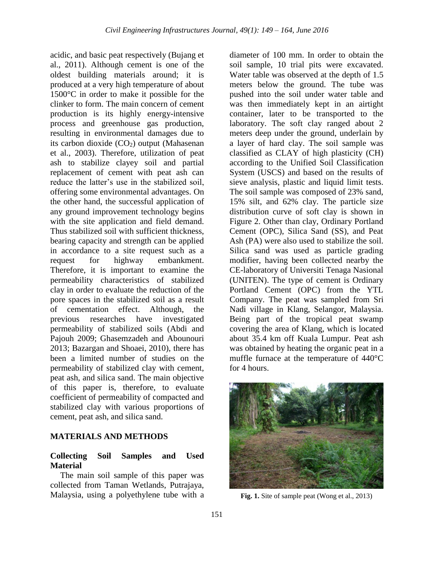acidic, and basic peat respectively (Bujang et al., 2011). Although cement is one of the oldest building materials around; it is produced at a very high temperature of about 1500°C in order to make it possible for the clinker to form. The main concern of cement production is its highly energy-intensive process and greenhouse gas production, resulting in environmental damages due to its carbon dioxide  $(CO<sub>2</sub>)$  output (Mahasenan et al., 2003). Therefore, utilization of peat ash to stabilize clayey soil and partial replacement of cement with peat ash can reduce the latter's use in the stabilized soil, offering some environmental advantages. On the other hand, the successful application of any ground improvement technology begins with the site application and field demand. Thus stabilized soil with sufficient thickness, bearing capacity and strength can be applied in accordance to a site request such as a request for highway embankment. Therefore, it is important to examine the permeability characteristics of stabilized clay in order to evaluate the reduction of the pore spaces in the stabilized soil as a result of cementation effect. Although, the previous researches have investigated permeability of stabilized soils (Abdi and Pajouh 2009; Ghasemzadeh and Abounouri 2013; Bazargan and Shoaei, 2010), there has been a limited number of studies on the permeability of stabilized clay with cement, peat ash, and silica sand. The main objective of this paper is, therefore, to evaluate coefficient of permeability of compacted and stabilized clay with various proportions of cement, peat ash, and silica sand.

## **MATERIALS AND METHODS**

## **Collecting Soil Samples and Used Material**

The main soil sample of this paper was collected from Taman Wetlands, Putrajaya, Malaysia, using a polyethylene tube with a

diameter of 100 mm. In order to obtain the soil sample, 10 trial pits were excavated. Water table was observed at the depth of 1.5 meters below the ground. The tube was pushed into the soil under water table and was then immediately kept in an airtight container, later to be transported to the laboratory. The soft clay ranged about 2 meters deep under the ground, underlain by a layer of hard clay. The soil sample was classified as CLAY of high plasticity (CH) according to the Unified Soil Classification System (USCS) and based on the results of sieve analysis, plastic and liquid limit tests. The soil sample was composed of 23% sand, 15% silt, and 62% clay. The particle size distribution curve of soft clay is shown in Figure 2. Other than clay, Ordinary Portland Cement (OPC), Silica Sand (SS), and Peat Ash (PA) were also used to stabilize the soil. Silica sand was used as particle grading modifier, having been collected nearby the CE-laboratory of Universiti Tenaga Nasional (UNITEN). The type of cement is Ordinary Portland Cement (OPC) from the YTL Company. The peat was sampled from Sri Nadi village in Klang, Selangor, Malaysia. Being part of the tropical peat swamp covering the area of Klang, which is located about 35.4 km off Kuala Lumpur. Peat ash was obtained by heating the organic peat in a muffle furnace at the temperature of 440°C for 4 hours.



**Fig. 1.** Site of sample peat (Wong et al., 2013)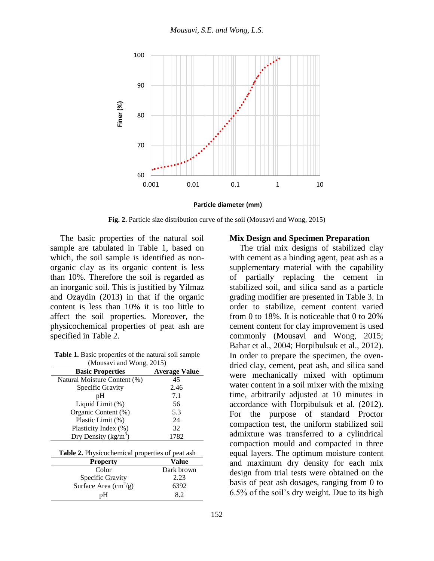

**Particle diameter (mm)**

**Fig. 2.** Particle size distribution curve of the soil (Mousavi and Wong, 2015)

The basic properties of the natural soil sample are tabulated in Table 1, based on which, the soil sample is identified as nonorganic clay as its organic content is less than 10%. Therefore the soil is regarded as an inorganic soil. This is justified by Yilmaz and Ozaydin (2013) in that if the organic content is less than 10% it is too little to affect the soil properties. Moreover, the physicochemical properties of peat ash are specified in Table 2.

**Table 1.** Basic properties of the natural soil sample (Mousavi and Wong, 2015)

| <b>Basic Properties</b>      | <b>Average Value</b> |
|------------------------------|----------------------|
| Natural Moisture Content (%) | 45                   |
| Specific Gravity             | 2.46                 |
| pH                           | 7.1                  |
| Liquid Limit (%)             | 56                   |
| Organic Content (%)          | 5.3                  |
| Plastic Limit (%)            | 24                   |
| Plasticity Index (%)         | 32                   |
| Dry Density ( $kg/m3$ )      | 1782                 |

**Table 2.** Physicochemical properties of peat ash

| <b>Property</b>                                           | Value      |
|-----------------------------------------------------------|------------|
| Color                                                     | Dark brown |
|                                                           | 2.23       |
| Specific Gravity<br>Surface Area $\text{cm}^2/\text{g}$ ) | 6392       |
| nН                                                        |            |

### **Mix Design and Specimen Preparation**

The trial mix designs of stabilized clay with cement as a binding agent, peat ash as a supplementary material with the capability of partially replacing the cement in stabilized soil, and silica sand as a particle grading modifier are presented in Table 3. In order to stabilize, cement content varied from 0 to 18%. It is noticeable that 0 to 20% cement content for clay improvement is used commonly (Mousavi and Wong, 2015; Bahar et al., 2004; Horpibulsuk et al., 2012). In order to prepare the specimen, the ovendried clay, cement, peat ash, and silica sand were mechanically mixed with optimum water content in a soil mixer with the mixing time, arbitrarily adjusted at 10 minutes in accordance with Horpibulsuk et al. (2012). For the purpose of standard Proctor compaction test, the uniform stabilized soil admixture was transferred to a cylindrical compaction mould and compacted in three equal layers. The optimum moisture content and maximum dry density for each mix design from trial tests were obtained on the basis of peat ash dosages, ranging from 0 to 6.5% of the soil's dry weight. Due to its high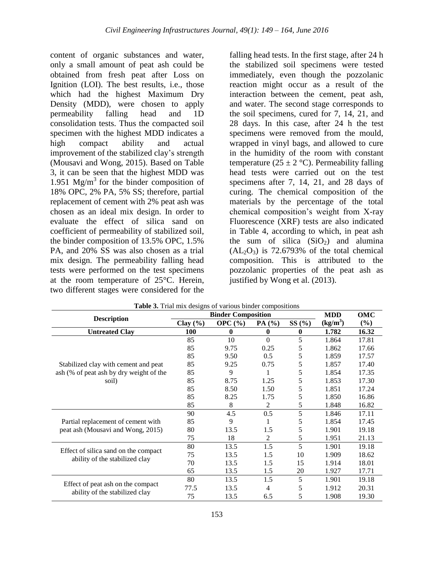content of organic substances and water, only a small amount of peat ash could be obtained from fresh peat after Loss on Ignition (LOI). The best results, i.e., those which had the highest Maximum Dry Density (MDD), were chosen to apply permeability falling head and 1D consolidation tests. Thus the compacted soil specimen with the highest MDD indicates a high compact ability and actual improvement of the stabilized clay's strength (Mousavi and Wong, 2015). Based on Table 3, it can be seen that the highest MDD was 1.951 Mg/m<sup>3</sup> for the binder composition of 18% OPC, 2% PA, 5% SS; therefore, partial replacement of cement with 2% peat ash was chosen as an ideal mix design. In order to evaluate the effect of silica sand on coefficient of permeability of stabilized soil, the binder composition of 13.5% OPC, 1.5% PA, and 20% SS was also chosen as a trial mix design. The permeability falling head tests were performed on the test specimens at the room temperature of 25°C. Herein, two different stages were considered for the

falling head tests. In the first stage, after 24 h the stabilized soil specimens were tested immediately, even though the pozzolanic reaction might occur as a result of the interaction between the cement, peat ash, and water. The second stage corresponds to the soil specimens, cured for 7, 14, 21, and 28 days. In this case, after 24 h the test specimens were removed from the mould, wrapped in vinyl bags, and allowed to cure in the humidity of the room with constant temperature (25  $\pm$  2 °C). Permeability falling head tests were carried out on the test specimens after 7, 14, 21, and 28 days of curing. The chemical composition of the materials by the percentage of the total chemical composition's weight from X-ray Fluorescence (XRF) tests are also indicated in Table 4, according to which, in peat ash the sum of silica  $(SiO<sub>2</sub>)$  and alumina  $(AL_2O_3)$  is 72.6793% of the total chemical composition. This is attributed to the pozzolanic properties of the peat ash as justified by Wong et al. (2013).

|                                         |              |             | <b>Binder Composition</b> |          |            | OMC    |
|-----------------------------------------|--------------|-------------|---------------------------|----------|------------|--------|
| <b>Description</b>                      | Clay $(\% )$ | OPC $(\% )$ | PA $(%$                   | SS(%)    | $(kg/m^3)$ | $(\%)$ |
| <b>Untreated Clay</b>                   | 100          | 0           | $\mathbf{0}$              | $\bf{0}$ | 1.782      | 16.32  |
|                                         | 85           | 10          | $\Omega$                  | 5        | 1.864      | 17.81  |
|                                         | 85           | 9.75        | 0.25                      | 5        | 1.862      | 17.66  |
|                                         | 85           | 9.50        | 0.5                       | 5        | 1.859      | 17.57  |
| Stabilized clay with cement and peat    | 85           | 9.25        | 0.75                      | 5        | 1.857      | 17.40  |
| ash (% of peat ash by dry weight of the | 85           | 9           |                           | 5        | 1.854      | 17.35  |
| soil)                                   | 85           | 8.75        | 1.25                      | 5        | 1.853      | 17.30  |
|                                         | 85           | 8.50        | 1.50                      | 5        | 1.851      | 17.24  |
|                                         | 85           | 8.25        | 1.75                      | 5        | 1.850      | 16.86  |
|                                         | 85           | 8           | 2                         | 5        | 1.848      | 16.82  |
|                                         | 90           | 4.5         | 0.5                       | 5        | 1.846      | 17.11  |
| Partial replacement of cement with      | 85           | 9           |                           | 5        | 1.854      | 17.45  |
| peat ash (Mousavi and Wong, 2015)       | 80           | 13.5        | 1.5                       | 5        | 1.901      | 19.18  |
|                                         | 75           | 18          | 2                         | 5        | 1.951      | 21.13  |
|                                         | 80           | 13.5        | 1.5                       | 5        | 1.901      | 19.18  |
| Effect of silica sand on the compact    | 75           | 13.5        | 1.5                       | 10       | 1.909      | 18.62  |
| ability of the stabilized clay          | 70           | 13.5        | 1.5                       | 15       | 1.914      | 18.01  |
|                                         | 65           | 13.5        | 1.5                       | 20       | 1.927      | 17.71  |
|                                         | 80           | 13.5        | 1.5                       | 5        | 1.901      | 19.18  |
| Effect of peat ash on the compact       | 77.5         | 13.5        | 4                         | 5        | 1.912      | 20.31  |
| ability of the stabilized clay          | 75           | 13.5        | 6.5                       | 5        | 1.908      | 19.30  |

**Table 3.** Trial mix designs of various binder compositions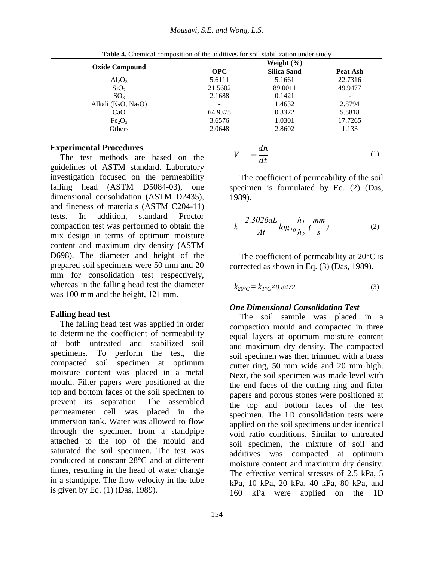|                                | Weight $(\% )$           |                    |          |
|--------------------------------|--------------------------|--------------------|----------|
| <b>Oxide Compound</b>          | <b>OPC</b>               | <b>Silica Sand</b> | Peat Ash |
| $Al_2O_3$                      | 5.6111                   | 5.1661             | 22.7316  |
| SiO <sub>2</sub>               | 21.5602                  | 89.0011            | 49.9477  |
| SO <sub>3</sub>                | 2.1688                   | 0.1421             | -        |
| Alkali $(K_2O, Na_2O)$         | $\overline{\phantom{0}}$ | 1.4632             | 2.8794   |
| CaO                            | 64.9375                  | 0.3372             | 5.5818   |
| Fe <sub>2</sub> O <sub>3</sub> | 3.6576                   | 1.0301             | 17.7265  |
| Others                         | 2.0648                   | 2.8602             | 1.133    |

**Table 4.** Chemical composition of the additives for soil stabilization under study

## **Experimental Procedures**

The test methods are based on the guidelines of ASTM standard. Laboratory investigation focused on the permeability falling head (ASTM D5084-03), one dimensional consolidation (ASTM D2435), and fineness of materials (ASTM C204-11) tests. In addition, standard Proctor compaction test was performed to obtain the mix design in terms of optimum moisture content and maximum dry density (ASTM D698). The diameter and height of the prepared soil specimens were 50 mm and 20 mm for consolidation test respectively, whereas in the falling head test the diameter was 100 mm and the height, 121 mm.

## **Falling head test**

The falling head test was applied in order to determine the coefficient of permeability of both untreated and stabilized soil specimens. To perform the test, the compacted soil specimen at optimum moisture content was placed in a metal mould. Filter papers were positioned at the top and bottom faces of the soil specimen to prevent its separation. The assembled permeameter cell was placed in the immersion tank. Water was allowed to flow through the specimen from a standpipe attached to the top of the mould and saturated the soil specimen. The test was conducted at constant 28°C and at different times, resulting in the head of water change in a standpipe. The flow velocity in the tube is given by Eq. (1) (Das, 1989).

$$
V = -\frac{dh}{dt} \tag{1}
$$

The coefficient of permeability of the soil specimen is formulated by Eq. (2) (Das, 1989).

$$
k = \frac{2.3026aL}{At} \log_{10} \frac{h_1}{h_2} \left(\frac{mm}{s}\right)
$$
 (2)

The coefficient of permeability at  $20^{\circ}$ C is corrected as shown in Eq. (3) (Das, 1989).

$$
k_{20^{\circ}C} = k_{T^{\circ}C} \times 0.8472 \tag{3}
$$

## *One Dimensional Consolidation Test*

The soil sample was placed in a compaction mould and compacted in three equal layers at optimum moisture content and maximum dry density. The compacted soil specimen was then trimmed with a brass cutter ring, 50 mm wide and 20 mm high. Next, the soil specimen was made level with the end faces of the cutting ring and filter papers and porous stones were positioned at the top and bottom faces of the test specimen. The 1D consolidation tests were applied on the soil specimens under identical void ratio conditions. Similar to untreated soil specimen, the mixture of soil and additives was compacted at optimum moisture content and maximum dry density. The effective vertical stresses of 2.5 kPa, 5 kPa, 10 kPa, 20 kPa, 40 kPa, 80 kPa, and 160 kPa were applied on the 1D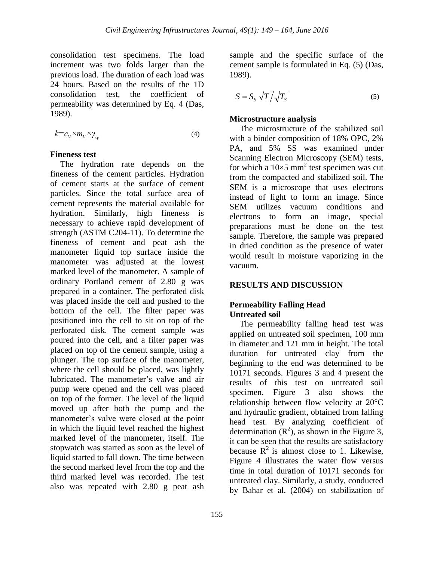consolidation test specimens. The load increment was two folds larger than the previous load. The duration of each load was 24 hours. Based on the results of the 1D consolidation test, the coefficient of permeability was determined by Eq. 4 (Das, 1989).

$$
k = c_v \times m_v \times \gamma_w \tag{4}
$$

### **Fineness test**

The hydration rate depends on the fineness of the cement particles. Hydration of cement starts at the surface of cement particles. Since the total surface area of cement represents the material available for hydration. Similarly, high fineness is necessary to achieve rapid development of strength (ASTM C204-11). To determine the fineness of cement and peat ash the manometer liquid top surface inside the manometer was adjusted at the lowest marked level of the manometer. A sample of ordinary Portland cement of 2.80 g was prepared in a container. The perforated disk was placed inside the cell and pushed to the bottom of the cell. The filter paper was positioned into the cell to sit on top of the perforated disk. The cement sample was poured into the cell, and a filter paper was placed on top of the cement sample, using a plunger. The top surface of the manometer, where the cell should be placed, was lightly lubricated. The manometer's valve and air pump were opened and the cell was placed on top of the former. The level of the liquid moved up after both the pump and the manometer's valve were closed at the point in which the liquid level reached the highest marked level of the manometer, itself. The stopwatch was started as soon as the level of liquid started to fall down. The time between the second marked level from the top and the third marked level was recorded. The test also was repeated with 2.80 g peat ash

sample and the specific surface of the cement sample is formulated in Eq. (5) (Das, 1989).

$$
S = S_S \sqrt{T} / \sqrt{T_S} \tag{5}
$$

### **Microstructure analysis**

The microstructure of the stabilized soil with a binder composition of 18% OPC, 2% PA, and 5% SS was examined under Scanning Electron Microscopy (SEM) tests, for which a  $10\times5$  mm<sup>2</sup> test specimen was cut from the compacted and stabilized soil. The SEM is a microscope that uses electrons instead of light to form an image. Since SEM utilizes vacuum conditions and electrons to form an image, special preparations must be done on the test sample. Therefore, the sample was prepared in dried condition as the presence of water would result in moisture vaporizing in the vacuum.

## **RESULTS AND DISCUSSION**

## **Permeability Falling Head Untreated soil**

The permeability falling head test was applied on untreated soil specimen, 100 mm in diameter and 121 mm in height. The total duration for untreated clay from the beginning to the end was determined to be 10171 seconds. Figures 3 and 4 present the results of this test on untreated soil specimen. Figure 3 also shows the relationship between flow velocity at 20°C and hydraulic gradient, obtained from falling head test. By analyzing coefficient of determination  $(R^2)$ , as shown in the Figure 3, it can be seen that the results are satisfactory because  $R^2$  is almost close to 1. Likewise, Figure 4 illustrates the water flow versus time in total duration of 10171 seconds for untreated clay. Similarly, a study, conducted by Bahar et al. (2004) on stabilization of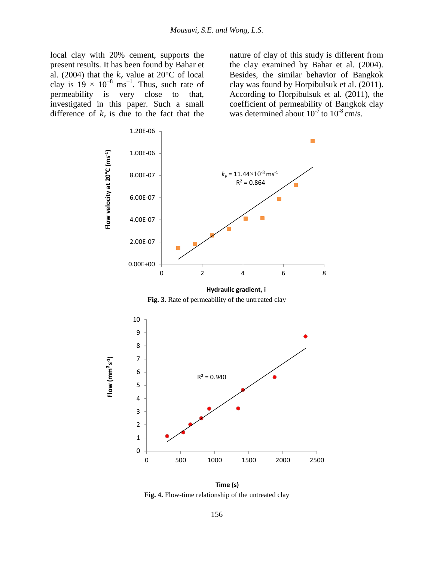local clay with 20% cement, supports the present results. It has been found by Bahar et al. (2004) that the  $k_v$  value at 20 $\degree$ C of local clay is  $19 \times 10^{-8}$  ms<sup>-1</sup>. Thus, such rate of permeability is very close to that, investigated in this paper. Such a small difference of  $k_v$  is due to the fact that the

nature of clay of this study is different from the clay examined by Bahar et al. (2004). Besides, the similar behavior of Bangkok clay was found by Horpibulsuk et al. (2011). According to Horpibulsuk et al. (2011), the coefficient of permeability of Bangkok clay was determined about  $10^{-7}$  to  $10^{-8}$  cm/s.



**Fig. 4.** Flow-time relationship of the untreated clay **Time (s)**

0 500 1000 1500 2000 2500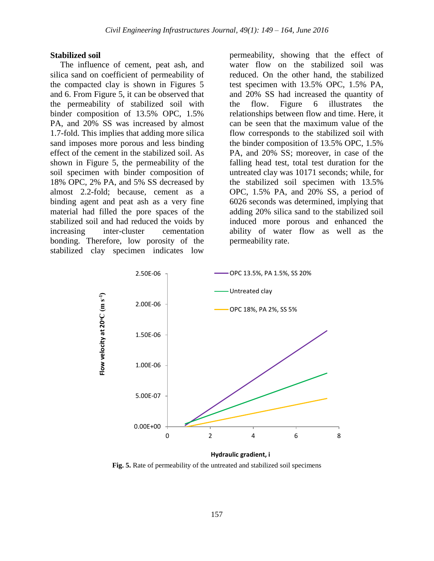#### **Stabilized soil**

The influence of cement, peat ash, and silica sand on coefficient of permeability of the compacted clay is shown in Figures 5 and 6. From Figure 5, it can be observed that the permeability of stabilized soil with binder composition of 13.5% OPC, 1.5% PA, and 20% SS was increased by almost 1.7-fold. This implies that adding more silica sand imposes more porous and less binding effect of the cement in the stabilized soil. As shown in Figure 5, the permeability of the soil specimen with binder composition of 18% OPC, 2% PA, and 5% SS decreased by almost 2.2-fold; because, cement as a binding agent and peat ash as a very fine material had filled the pore spaces of the stabilized soil and had reduced the voids by increasing inter-cluster cementation bonding. Therefore, low porosity of the stabilized clay specimen indicates low

permeability, showing that the effect of water flow on the stabilized soil was reduced. On the other hand, the stabilized test specimen with 13.5% OPC, 1.5% PA, and 20% SS had increased the quantity of the flow. Figure 6 illustrates the relationships between flow and time. Here, it can be seen that the maximum value of the flow corresponds to the stabilized soil with the binder composition of 13.5% OPC, 1.5% PA, and 20% SS; moreover, in case of the falling head test, total test duration for the untreated clay was 10171 seconds; while, for the stabilized soil specimen with 13.5% OPC, 1.5% PA, and 20% SS, a period of 6026 seconds was determined, implying that adding 20% silica sand to the stabilized soil induced more porous and enhanced the ability of water flow as well as the permeability rate.



**Fig. 5.** Rate of permeability of the untreated and stabilized soil specimens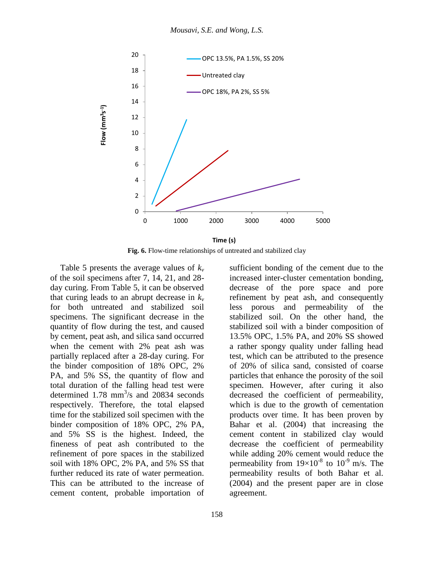

**Fig. 6.** Flow-time relationships of untreated and stabilized clay

Table 5 presents the average values of *k<sup>v</sup>* of the soil specimens after 7, 14, 21, and 28 day curing. From Table 5, it can be observed that curing leads to an abrupt decrease in  $k_v$ for both untreated and stabilized soil specimens. The significant decrease in the quantity of flow during the test, and caused by cement, peat ash, and silica sand occurred when the cement with 2% peat ash was partially replaced after a 28-day curing. For the binder composition of 18% OPC, 2% PA, and 5% SS, the quantity of flow and total duration of the falling head test were determined  $1.78 \text{ mm}^3/\text{s}$  and  $20834 \text{ seconds}$ respectively. Therefore, the total elapsed time for the stabilized soil specimen with the binder composition of 18% OPC, 2% PA, and 5% SS is the highest. Indeed, the fineness of peat ash contributed to the refinement of pore spaces in the stabilized soil with 18% OPC, 2% PA, and 5% SS that further reduced its rate of water permeation. This can be attributed to the increase of cement content, probable importation of

sufficient bonding of the cement due to the increased inter-cluster cementation bonding, decrease of the pore space and pore refinement by peat ash, and consequently less porous and permeability of the stabilized soil. On the other hand, the stabilized soil with a binder composition of 13.5% OPC, 1.5% PA, and 20% SS showed a rather spongy quality under falling head test, which can be attributed to the presence of 20% of silica sand, consisted of coarse particles that enhance the porosity of the soil specimen. However, after curing it also decreased the coefficient of permeability, which is due to the growth of cementation products over time. It has been proven by Bahar et al. (2004) that increasing the cement content in stabilized clay would decrease the coefficient of permeability while adding 20% cement would reduce the permeability from  $19\times10^{-8}$  to  $10^{-9}$  m/s. The permeability results of both Bahar et al. (2004) and the present paper are in close agreement.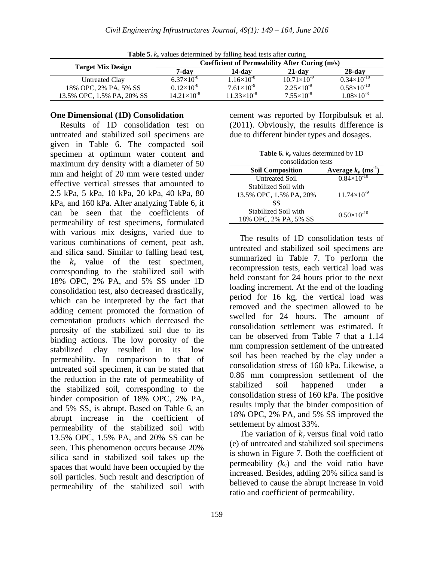| TWITTING ITOWER CODED WITHIN OWNERS |                      |                      |                                                |                      |
|-------------------------------------|----------------------|----------------------|------------------------------------------------|----------------------|
|                                     |                      |                      | Coefficient of Permeability After Curing (m/s) |                      |
| <b>Target Mix Design</b>            | 7-dav                | 14-dav               | $21$ -day                                      | $28$ -day            |
| Untreated Clay                      | $6.37\times10^{-8}$  | $1.16\times10^{-8}$  | $10.71\times10^{-9}$                           | $0.34\times10^{-10}$ |
| 18% OPC, 2% PA, 5% SS               | $0.12\times10^{-8}$  | $7.61\times10^{-9}$  | $2.25 \times 10^{-9}$                          | $0.58\times10^{-10}$ |
| 13.5% OPC, 1.5% PA, 20% SS          | $14.21\times10^{-8}$ | $11.33\times10^{-8}$ | $7.55\times10^{-8}$                            | $1.08\times10^{-8}$  |

**Table 5.** *k<sup>v</sup>* values determined by falling head tests after curing

#### **One Dimensional (1D) Consolidation**

Results of 1D consolidation test on untreated and stabilized soil specimens are given in Table 6. The compacted soil specimen at optimum water content and maximum dry density with a diameter of 50 mm and height of 20 mm were tested under effective vertical stresses that amounted to 2.5 kPa, 5 kPa, 10 kPa, 20 kPa, 40 kPa, 80 kPa, and 160 kPa. After analyzing Table 6, it can be seen that the coefficients of permeability of test specimens, formulated with various mix designs, varied due to various combinations of cement, peat ash, and silica sand. Similar to falling head test, the  $k_v$  value of the test specimen, corresponding to the stabilized soil with 18% OPC, 2% PA, and 5% SS under 1D consolidation test, also decreased drastically, which can be interpreted by the fact that adding cement promoted the formation of cementation products which decreased the porosity of the stabilized soil due to its binding actions. The low porosity of the stabilized clay resulted in its low permeability. In comparison to that of untreated soil specimen, it can be stated that the reduction in the rate of permeability of the stabilized soil, corresponding to the binder composition of 18% OPC, 2% PA, and 5% SS, is abrupt. Based on Table 6, an abrupt increase in the coefficient of permeability of the stabilized soil with 13.5% OPC, 1.5% PA, and 20% SS can be seen. This phenomenon occurs because 20% silica sand in stabilized soil takes up the spaces that would have been occupied by the soil particles. Such result and description of permeability of the stabilized soil with

cement was reported by Horpibulsuk et al. (2011). Obviously, the results difference is due to different binder types and dosages.

**Table 6.** *k<sup>v</sup>* values determined by 1D consolidation tests

| consolidation tests     |                                  |  |
|-------------------------|----------------------------------|--|
| <b>Soil Composition</b> | Average $k_v$ (ms <sup>1</sup> ) |  |
| <b>Untreated Soil</b>   | $0.84\times10^{-10}$             |  |
| Stabilized Soil with    |                                  |  |
| 13.5% OPC, 1.5% PA, 20% | $11.74\times10^{-9}$             |  |
| SS                      |                                  |  |
| Stabilized Soil with    | $0.50\times10^{-10}$             |  |
| 18% OPC, 2% PA, 5% SS   |                                  |  |

The results of 1D consolidation tests of untreated and stabilized soil specimens are summarized in Table 7. To perform the recompression tests, each vertical load was held constant for 24 hours prior to the next loading increment. At the end of the loading period for 16 kg, the vertical load was removed and the specimen allowed to be swelled for 24 hours. The amount of consolidation settlement was estimated. It can be observed from Table 7 that a 1.14 mm compression settlement of the untreated soil has been reached by the clay under a consolidation stress of 160 kPa. Likewise, a 0.86 mm compression settlement of the stabilized soil happened under a consolidation stress of 160 kPa. The positive results imply that the binder composition of 18% OPC, 2% PA, and 5% SS improved the settlement by almost 33%.

The variation of  $k_v$  versus final void ratio (e) of untreated and stabilized soil specimens is shown in Figure 7. Both the coefficient of permeability  $(k_v)$  and the void ratio have increased. Besides, adding 20% silica sand is believed to cause the abrupt increase in void ratio and coefficient of permeability.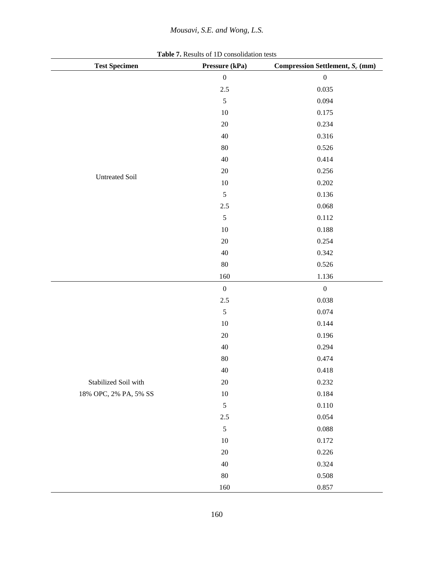## *Mousavi, S.E. and Wong, L.S.*

| <b>Test Specimen</b>  | Pressure (kPa)   | Compression Settlement, $S_c$ (mm) |
|-----------------------|------------------|------------------------------------|
|                       | $\boldsymbol{0}$ | $\boldsymbol{0}$                   |
|                       | 2.5              | 0.035                              |
|                       | $\sqrt{5}$       | 0.094                              |
|                       | $10\,$           | 0.175                              |
|                       | $20\,$           | 0.234                              |
|                       | $40\,$           | 0.316                              |
|                       | 80               | 0.526                              |
|                       | $40\,$           | 0.414                              |
|                       | $20\,$           | 0.256                              |
| <b>Untreated Soil</b> | $10\,$           | $0.202\,$                          |
|                       | $\sqrt{5}$       | 0.136                              |
|                       | $2.5\,$          | 0.068                              |
|                       | $\sqrt{5}$       | $0.112\,$                          |
|                       | $10\,$           | $0.188\,$                          |
|                       | $20\,$           | 0.254                              |
|                       | $40\,$           | 0.342                              |
|                       | 80               | 0.526                              |
|                       | 160              | $1.136\,$                          |
|                       | $\boldsymbol{0}$ | $\boldsymbol{0}$                   |
|                       | $2.5\,$          | 0.038                              |
|                       | $\sqrt{5}$       | 0.074                              |
|                       | $10\,$           | 0.144                              |
|                       | $20\,$           | 0.196                              |
|                       | $40\,$           | 0.294                              |
|                       | $80\,$           | 0.474                              |
|                       | $40\,$           | 0.418                              |
| Stabilized Soil with  | $20\,$           | 0.232                              |
| 18% OPC, 2% PA, 5% SS | 10               | 0.184                              |
|                       | $\sqrt{5}$       | 0.110                              |
|                       | $2.5\,$          | 0.054                              |
|                       | $\sqrt{5}$       | 0.088                              |
|                       | 10               | 0.172                              |
|                       | $20\,$           | 0.226                              |
|                       | $40\,$           | 0.324                              |
|                       | $80\,$           | 0.508                              |
|                       | 160              | 0.857                              |

**Table 7.** Results of 1D consolidation tests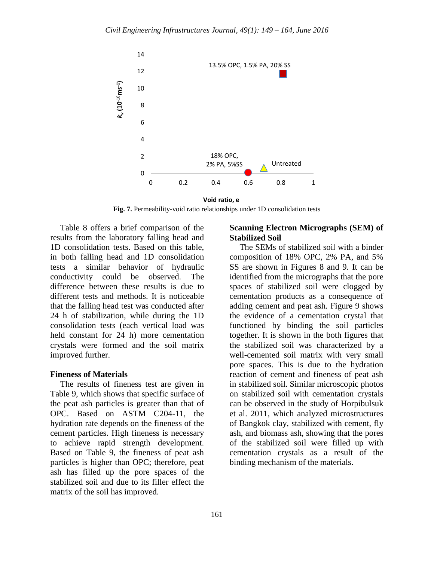

**Fig. 7.** Permeability-void ratio relationships under 1D consolidation tests **Void ratio, e**

Table 8 offers a brief comparison of the results from the laboratory falling head and 1D consolidation tests. Based on this table, in both falling head and 1D consolidation tests a similar behavior of hydraulic conductivity could be observed. The difference between these results is due to different tests and methods. It is noticeable that the falling head test was conducted after 24 h of stabilization, while during the 1D consolidation tests (each vertical load was held constant for 24 h) more cementation crystals were formed and the soil matrix improved further.

#### **Fineness of Materials**

The results of fineness test are given in Table 9, which shows that specific surface of the peat ash particles is greater than that of OPC. Based on ASTM C204-11, the hydration rate depends on the fineness of the cement particles. High fineness is necessary to achieve rapid strength development. Based on Table 9, the fineness of peat ash particles is higher than OPC; therefore, peat ash has filled up the pore spaces of the stabilized soil and due to its filler effect the matrix of the soil has improved.

### **Scanning Electron Micrographs (SEM) of Stabilized Soil**

The SEMs of stabilized soil with a binder composition of 18% OPC, 2% PA, and 5% SS are shown in Figures 8 and 9. It can be identified from the micrographs that the pore spaces of stabilized soil were clogged by cementation products as a consequence of adding cement and peat ash. Figure 9 shows the evidence of a cementation crystal that functioned by binding the soil particles together. It is shown in the both figures that the stabilized soil was characterized by a well-cemented soil matrix with very small pore spaces. This is due to the hydration reaction of cement and fineness of peat ash in stabilized soil. Similar microscopic photos on stabilized soil with cementation crystals can be observed in the study of Horpibulsuk et al. 2011, which analyzed microstructures of Bangkok clay, stabilized with cement, fly ash, and biomass ash, showing that the pores of the stabilized soil were filled up with cementation crystals as a result of the binding mechanism of the materials.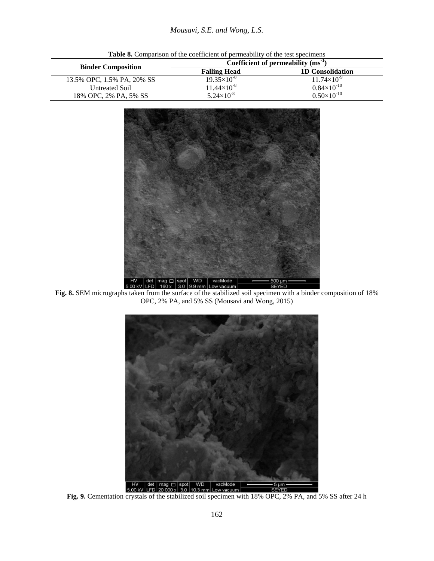|                            |                       | Coefficient of permeability $(ms^{-1})$ |
|----------------------------|-----------------------|-----------------------------------------|
| <b>Binder Composition</b>  | <b>Falling Head</b>   | <b>1D Consolidation</b>                 |
| 13.5% OPC, 1.5% PA, 20% SS | $19.35\times10^{-8}$  | $11.74\times10^{-9}$                    |
| Untreated Soil             | $11.44\times10^{-8}$  | $0.84\times10^{-10}$                    |
| 18% OPC, 2% PA, 5% SS      | $5.24 \times 10^{-8}$ | $0.50\times10^{-10}$                    |

**Table 8.** Comparison of the coefficient of permeability of the test specimens



**Fig. 8.** SEM micrographs taken from the surface of the stabilized soil specimen with a binder composition of 18% OPC, 2% PA, and 5% SS (Mousavi and Wong, 2015)



**Fig. 9.** Cementation crystals of the stabilized soil specimen with 18% OPC, 2% PA, and 5% SS after 24 h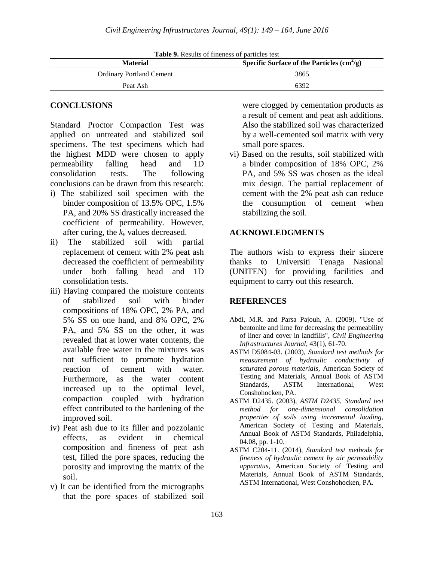| <b>Material</b>                 | Specific Surface of the Particles $\text{cm}^2/\text{g}$ ) |
|---------------------------------|------------------------------------------------------------|
| <b>Ordinary Portland Cement</b> | 3865                                                       |
| Peat Ash                        | 6392                                                       |

**Table 9.** Results of fineness of particles test

### **CONCLUSIONS**

Standard Proctor Compaction Test was applied on untreated and stabilized soil specimens. The test specimens which had the highest MDD were chosen to apply permeability falling head and 1D consolidation tests. The following conclusions can be drawn from this research:

- i) The stabilized soil specimen with the binder composition of 13.5% OPC, 1.5% PA, and 20% SS drastically increased the coefficient of permeability. However, after curing, the  $k<sub>v</sub>$  values decreased.
- ii) The stabilized soil with partial replacement of cement with 2% peat ash decreased the coefficient of permeability under both falling head and 1D consolidation tests.
- iii) Having compared the moisture contents of stabilized soil with binder compositions of 18% OPC, 2% PA, and 5% SS on one hand, and 8% OPC, 2% PA, and 5% SS on the other, it was revealed that at lower water contents, the available free water in the mixtures was not sufficient to promote hydration reaction of cement with water. Furthermore, as the water content increased up to the optimal level, compaction coupled with hydration effect contributed to the hardening of the improved soil.
- iv) Peat ash due to its filler and pozzolanic effects, as evident in chemical composition and fineness of peat ash test, filled the pore spaces, reducing the porosity and improving the matrix of the soil.
- v) It can be identified from the micrographs that the pore spaces of stabilized soil

were clogged by cementation products as a result of cement and peat ash additions. Also the stabilized soil was characterized by a well-cemented soil matrix with very small pore spaces.

vi) Based on the results, soil stabilized with a binder composition of 18% OPC, 2% PA, and 5% SS was chosen as the ideal mix design. The partial replacement of cement with the 2% peat ash can reduce the consumption of cement when stabilizing the soil.

#### **ACKNOWLEDGMENTS**

The authors wish to express their sincere thanks to Universiti Tenaga Nasional (UNITEN) for providing facilities and equipment to carry out this research.

#### **REFERENCES**

- Abdi, M.R. and Parsa Pajouh, A. (2009). "Use of bentonite and lime for decreasing the permeability of liner and cover in landfills", *Civil Engineering Infrastructures Journal*, 43(1), 61-70.
- ASTM D5084-03. (2003), *Standard test methods for measurement of hydraulic conductivity of saturated porous materials*, American Society of Testing and Materials, Annual Book of ASTM Standards, ASTM International, West Conshohocken, PA.
- ASTM D2435. (2003), *ASTM D2435, Standard test method for one-dimensional consolidation properties of soils using incremental loading*, American Society of Testing and Materials, Annual Book of ASTM Standards, Philadelphia, 04.08, pp. 1-10.
- ASTM C204-11. (2014), *Standard test methods for fineness of hydraulic cement by air permeability apparatus*, American Society of Testing and Materials, Annual Book of ASTM Standards, ASTM International, West Conshohocken, PA.